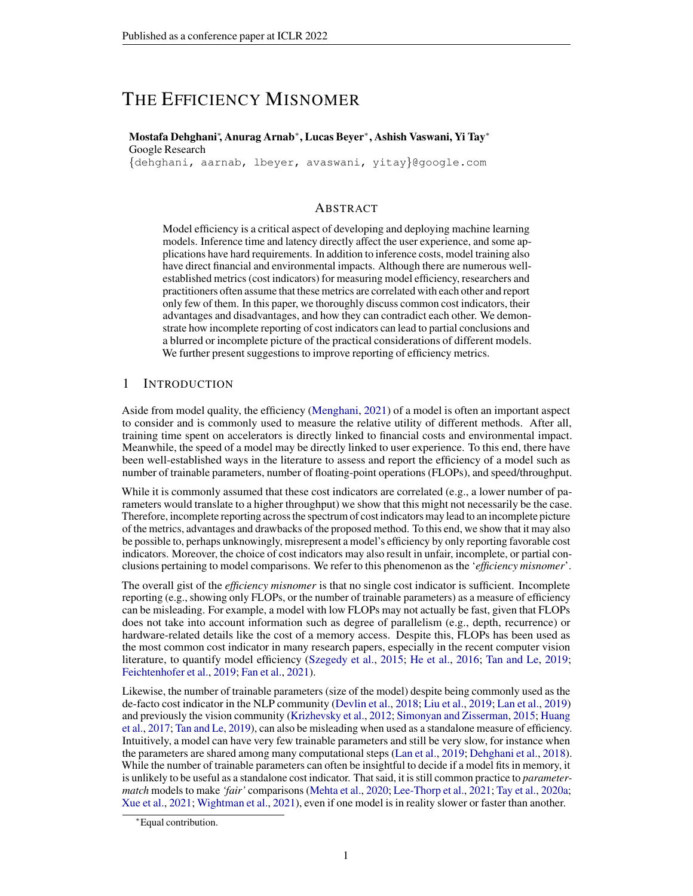# THE EFFICIENCY MISNOMER

#### Mostafa Dehghani<sup>∗</sup> , Anurag Arnab<sup>∗</sup> , Lucas Beyer<sup>∗</sup> , Ashish Vaswani, Yi Tay<sup>∗</sup> Google Research

{dehghani, aarnab, lbeyer, avaswani, yitay}@google.com

#### ABSTRACT

Model efficiency is a critical aspect of developing and deploying machine learning models. Inference time and latency directly affect the user experience, and some applications have hard requirements. In addition to inference costs, model training also have direct financial and environmental impacts. Although there are numerous wellestablished metrics (cost indicators) for measuring model efficiency, researchers and practitioners often assume that these metrics are correlated with each other and report only few of them. In this paper, we thoroughly discuss common cost indicators, their advantages and disadvantages, and how they can contradict each other. We demonstrate how incomplete reporting of cost indicators can lead to partial conclusions and a blurred or incomplete picture of the practical considerations of different models. We further present suggestions to improve reporting of efficiency metrics.

# 1 INTRODUCTION

Aside from model quality, the efficiency [\(Menghani,](#page-11-0) [2021\)](#page-11-0) of a model is often an important aspect to consider and is commonly used to measure the relative utility of different methods. After all, training time spent on accelerators is directly linked to financial costs and environmental impact. Meanwhile, the speed of a model may be directly linked to user experience. To this end, there have been well-established ways in the literature to assess and report the efficiency of a model such as number of trainable parameters, number of floating-point operations (FLOPs), and speed/throughput.

While it is commonly assumed that these cost indicators are correlated (e.g., a lower number of parameters would translate to a higher throughput) we show that this might not necessarily be the case. Therefore, incomplete reporting across the spectrum of cost indicators may lead to an incomplete picture of the metrics, advantages and drawbacks of the proposed method. To this end, we show that it may also be possible to, perhaps unknowingly, misrepresent a model's efficiency by only reporting favorable cost indicators. Moreover, the choice of cost indicators may also result in unfair, incomplete, or partial conclusions pertaining to model comparisons. We refer to this phenomenon as the '*efficiency misnomer*'.

The overall gist of the *efficiency misnomer* is that no single cost indicator is sufficient. Incomplete reporting (e.g., showing only FLOPs, or the number of trainable parameters) as a measure of efficiency can be misleading. For example, a model with low FLOPs may not actually be fast, given that FLOPs does not take into account information such as degree of parallelism (e.g., depth, recurrence) or hardware-related details like the cost of a memory access. Despite this, FLOPs has been used as the most common cost indicator in many research papers, especially in the recent computer vision literature, to quantify model efficiency [\(Szegedy et al.,](#page-12-0) [2015;](#page-12-0) [He et al.,](#page-10-0) [2016;](#page-10-0) [Tan and Le,](#page-13-0) [2019;](#page-13-0) [Feichtenhofer et al.,](#page-9-0) [2019;](#page-9-0) [Fan et al.,](#page-9-1) [2021\)](#page-9-1).

Likewise, the number of trainable parameters (size of the model) despite being commonly used as the de-facto cost indicator in the NLP community [\(Devlin et al.,](#page-9-2) [2018;](#page-9-2) [Liu et al.,](#page-11-1) [2019;](#page-11-1) [Lan et al.,](#page-11-2) [2019\)](#page-11-2) and previously the vision community [\(Krizhevsky et al.,](#page-11-3) [2012;](#page-11-3) [Simonyan and Zisserman,](#page-12-1) [2015;](#page-12-1) [Huang](#page-10-1) [et al.,](#page-10-1) [2017;](#page-10-1) [Tan and Le,](#page-13-0) [2019\)](#page-13-0), can also be misleading when used as a standalone measure of efficiency. Intuitively, a model can have very few trainable parameters and still be very slow, for instance when the parameters are shared among many computational steps [\(Lan et al.,](#page-11-2) [2019;](#page-11-2) [Dehghani et al.,](#page-9-3) [2018\)](#page-9-3). While the number of trainable parameters can often be insightful to decide if a model fits in memory, it is unlikely to be useful as a standalone cost indicator. That said, it is still common practice to *parametermatch* models to make *'fair'* comparisons [\(Mehta et al.,](#page-11-4) [2020;](#page-11-4) [Lee-Thorp et al.,](#page-11-5) [2021;](#page-11-5) [Tay et al.,](#page-13-1) [2020a;](#page-13-1) [Xue et al.,](#page-13-2) [2021;](#page-13-2) [Wightman et al.,](#page-13-3) [2021\)](#page-13-3), even if one model is in reality slower or faster than another.

<sup>∗</sup>Equal contribution.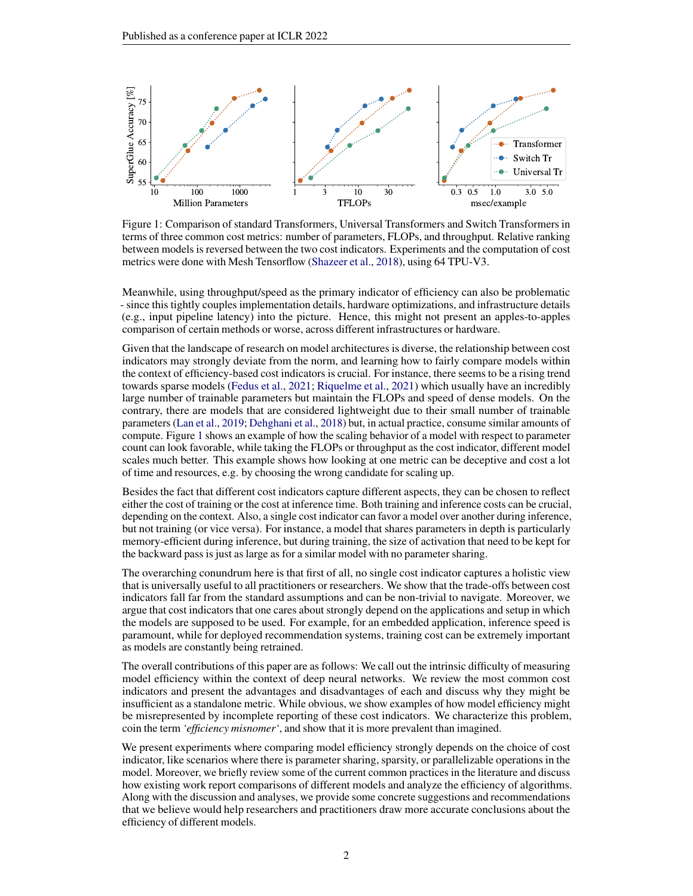<span id="page-1-0"></span>

Figure 1: Comparison of standard Transformers, Universal Transformers and Switch Transformers in terms of three common cost metrics: number of parameters, FLOPs, and throughput. Relative ranking between models is reversed between the two cost indicators. Experiments and the computation of cost metrics were done with Mesh Tensorflow [\(Shazeer et al.,](#page-12-2) [2018\)](#page-12-2), using 64 TPU-V3.

Meanwhile, using throughput/speed as the primary indicator of efficiency can also be problematic - since this tightly couples implementation details, hardware optimizations, and infrastructure details (e.g., input pipeline latency) into the picture. Hence, this might not present an apples-to-apples comparison of certain methods or worse, across different infrastructures or hardware.

Given that the landscape of research on model architectures is diverse, the relationship between cost indicators may strongly deviate from the norm, and learning how to fairly compare models within the context of efficiency-based cost indicators is crucial. For instance, there seems to be a rising trend towards sparse models [\(Fedus et al.,](#page-9-4) [2021;](#page-9-4) [Riquelme et al.,](#page-12-3) [2021\)](#page-12-3) which usually have an incredibly large number of trainable parameters but maintain the FLOPs and speed of dense models. On the contrary, there are models that are considered lightweight due to their small number of trainable parameters [\(Lan et al.,](#page-11-2) [2019;](#page-11-2) [Dehghani et al.,](#page-9-3) [2018\)](#page-9-3) but, in actual practice, consume similar amounts of compute. Figure [1](#page-1-0) shows an example of how the scaling behavior of a model with respect to parameter count can look favorable, while taking the FLOPs or throughput as the cost indicator, different model scales much better. This example shows how looking at one metric can be deceptive and cost a lot of time and resources, e.g. by choosing the wrong candidate for scaling up.

Besides the fact that different cost indicators capture different aspects, they can be chosen to reflect either the cost of training or the cost at inference time. Both training and inference costs can be crucial, depending on the context. Also, a single cost indicator can favor a model over another during inference, but not training (or vice versa). For instance, a model that shares parameters in depth is particularly memory-efficient during inference, but during training, the size of activation that need to be kept for the backward pass is just as large as for a similar model with no parameter sharing.

The overarching conundrum here is that first of all, no single cost indicator captures a holistic view that is universally useful to all practitioners or researchers. We show that the trade-offs between cost indicators fall far from the standard assumptions and can be non-trivial to navigate. Moreover, we argue that cost indicators that one cares about strongly depend on the applications and setup in which the models are supposed to be used. For example, for an embedded application, inference speed is paramount, while for deployed recommendation systems, training cost can be extremely important as models are constantly being retrained.

The overall contributions of this paper are as follows: We call out the intrinsic difficulty of measuring model efficiency within the context of deep neural networks. We review the most common cost indicators and present the advantages and disadvantages of each and discuss why they might be insufficient as a standalone metric. While obvious, we show examples of how model efficiency might be misrepresented by incomplete reporting of these cost indicators. We characterize this problem, coin the term *'efficiency misnomer'*, and show that it is more prevalent than imagined.

We present experiments where comparing model efficiency strongly depends on the choice of cost indicator, like scenarios where there is parameter sharing, sparsity, or parallelizable operations in the model. Moreover, we briefly review some of the current common practices in the literature and discuss how existing work report comparisons of different models and analyze the efficiency of algorithms. Along with the discussion and analyses, we provide some concrete suggestions and recommendations that we believe would help researchers and practitioners draw more accurate conclusions about the efficiency of different models.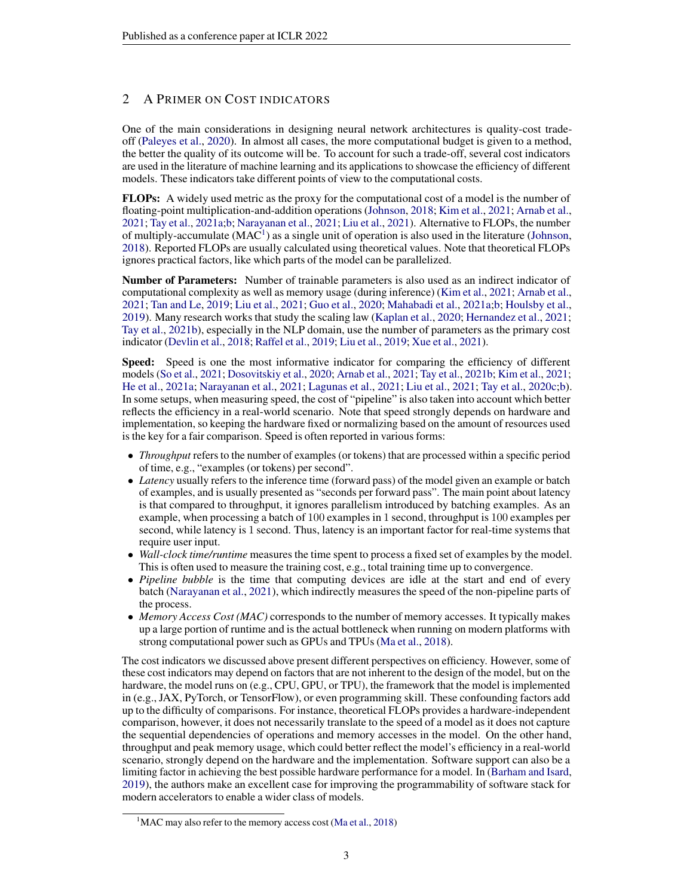# <span id="page-2-1"></span>2 A PRIMER ON COST INDICATORS

One of the main considerations in designing neural network architectures is quality-cost tradeoff [\(Paleyes et al.,](#page-12-4) [2020\)](#page-12-4). In almost all cases, the more computational budget is given to a method, the better the quality of its outcome will be. To account for such a trade-off, several cost indicators are used in the literature of machine learning and its applications to showcase the efficiency of different models. These indicators take different points of view to the computational costs.

FLOPs: A widely used metric as the proxy for the computational cost of a model is the number of floating-point multiplication-and-addition operations [\(Johnson,](#page-10-2) [2018;](#page-10-2) [Kim et al.,](#page-10-3) [2021;](#page-10-3) [Arnab et al.,](#page-9-5) [2021;](#page-9-5) [Tay et al.,](#page-13-4) [2021a](#page-13-4)[;b;](#page-13-5) [Narayanan et al.,](#page-12-5) [2021;](#page-12-5) [Liu et al.,](#page-11-6) [2021\)](#page-11-6). Alternative to FLOPs, the number of multiply-accumulate  $(MAC^1)$  $(MAC^1)$  $(MAC^1)$  as a single unit of operation is also used in the literature [\(Johnson,](#page-10-2) [2018\)](#page-10-2). Reported FLOPs are usually calculated using theoretical values. Note that theoretical FLOPs ignores practical factors, like which parts of the model can be parallelized.

Number of Parameters: Number of trainable parameters is also used as an indirect indicator of computational complexity as well as memory usage (during inference) [\(Kim et al.,](#page-10-3) [2021;](#page-10-3) [Arnab et al.,](#page-9-5) [2021;](#page-9-5) [Tan and Le,](#page-13-0) [2019;](#page-13-0) [Liu et al.,](#page-11-6) [2021;](#page-11-6) [Guo et al.,](#page-9-6) [2020;](#page-9-6) [Mahabadi et al.,](#page-11-7) [2021a;](#page-11-7)[b;](#page-11-8) [Houlsby et al.,](#page-10-4) [2019\)](#page-10-4). Many research works that study the scaling law [\(Kaplan et al.,](#page-10-5) [2020;](#page-10-5) [Hernandez et al.,](#page-10-6) [2021;](#page-10-6) [Tay et al.,](#page-13-5) [2021b\)](#page-13-5), especially in the NLP domain, use the number of parameters as the primary cost indicator [\(Devlin et al.,](#page-9-2) [2018;](#page-9-2) [Raffel et al.,](#page-12-6) [2019;](#page-12-6) [Liu et al.,](#page-11-1) [2019;](#page-11-1) [Xue et al.,](#page-13-2) [2021\)](#page-13-2).

Speed: Speed is one the most informative indicator for comparing the efficiency of different models [\(So et al.,](#page-12-7) [2021;](#page-10-3) [Dosovitskiy et al.,](#page-9-7) [2020;](#page-9-7) [Arnab et al.,](#page-9-5) 2021; [Tay et al.,](#page-13-5) [2021b;](#page-13-5) [Kim et al.,](#page-10-3) 2021; [He et al.,](#page-10-7) [2021a;](#page-10-7) [Narayanan et al.,](#page-12-5) [2021;](#page-12-5) [Lagunas et al.,](#page-11-9) [2021;](#page-11-9) [Liu et al.,](#page-11-6) [2021;](#page-11-6) [Tay et al.,](#page-13-6) [2020c;](#page-13-6)[b\)](#page-13-7). In some setups, when measuring speed, the cost of "pipeline" is also taken into account which better reflects the efficiency in a real-world scenario. Note that speed strongly depends on hardware and implementation, so keeping the hardware fixed or normalizing based on the amount of resources used is the key for a fair comparison. Speed is often reported in various forms:

- *Throughput* refers to the number of examples (or tokens) that are processed within a specific period of time, e.g., "examples (or tokens) per second".
- *Latency* usually refers to the inference time (forward pass) of the model given an example or batch of examples, and is usually presented as "seconds per forward pass". The main point about latency is that compared to throughput, it ignores parallelism introduced by batching examples. As an example, when processing a batch of 100 examples in 1 second, throughput is 100 examples per second, while latency is 1 second. Thus, latency is an important factor for real-time systems that require user input.
- *Wall-clock time/runtime* measures the time spent to process a fixed set of examples by the model. This is often used to measure the training cost, e.g., total training time up to convergence.
- *Pipeline bubble* is the time that computing devices are idle at the start and end of every batch [\(Narayanan et al.,](#page-12-5) [2021\)](#page-12-5), which indirectly measures the speed of the non-pipeline parts of the process.
- *Memory Access Cost (MAC)* corresponds to the number of memory accesses. It typically makes up a large portion of runtime and is the actual bottleneck when running on modern platforms with strong computational power such as GPUs and TPUs [\(Ma et al.,](#page-11-10) [2018\)](#page-11-10).

The cost indicators we discussed above present different perspectives on efficiency. However, some of these cost indicators may depend on factors that are not inherent to the design of the model, but on the hardware, the model runs on (e.g., CPU, GPU, or TPU), the framework that the model is implemented in (e.g., JAX, PyTorch, or TensorFlow), or even programming skill. These confounding factors add up to the difficulty of comparisons. For instance, theoretical FLOPs provides a hardware-independent comparison, however, it does not necessarily translate to the speed of a model as it does not capture the sequential dependencies of operations and memory accesses in the model. On the other hand, throughput and peak memory usage, which could better reflect the model's efficiency in a real-world scenario, strongly depend on the hardware and the implementation. Software support can also be a limiting factor in achieving the best possible hardware performance for a model. In [\(Barham and Isard,](#page-9-8) [2019\)](#page-9-8), the authors make an excellent case for improving the programmability of software stack for modern accelerators to enable a wider class of models.

<span id="page-2-0"></span><sup>&</sup>lt;sup>1</sup>MAC may also refer to the memory access cost [\(Ma et al.,](#page-11-10) [2018\)](#page-11-10)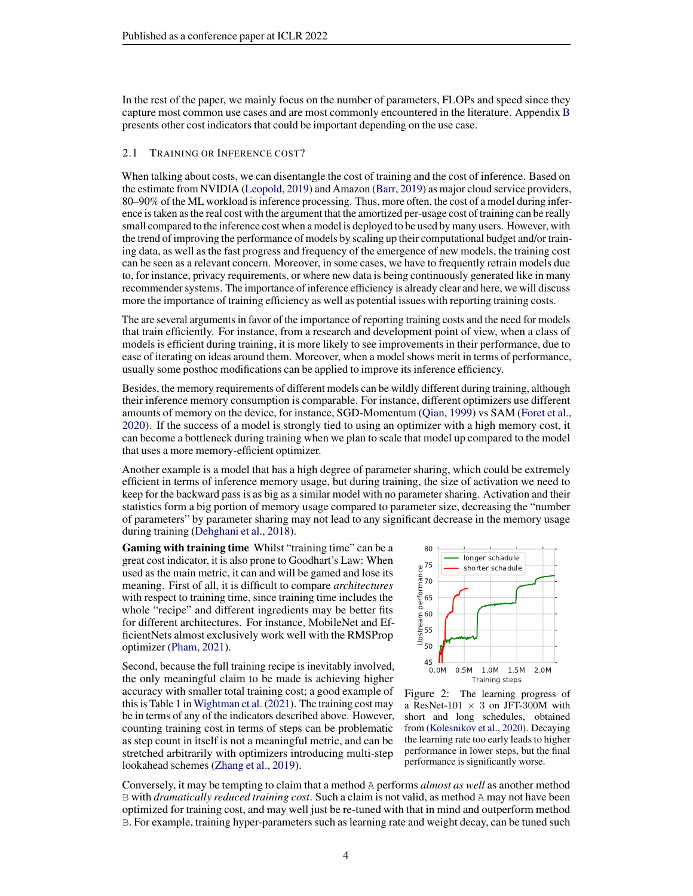In the rest of the paper, we mainly focus on the number of parameters, FLOPs and speed since they capture most common use cases and are most commonly encountered in the literature. Appendix [B](#page-15-0) presents other cost indicators that could be important depending on the use case.

#### 2.1 TRAINING OR INFERENCE COST?

When talking about costs, we can disentangle the cost of training and the cost of inference. Based on the estimate from NVIDIA [\(Leopold,](#page-11-11) [2019\)](#page-11-11) and Amazon [\(Barr,](#page-9-9) [2019\)](#page-9-9) as major cloud service providers, 80–90% of the ML workload is inference processing. Thus, more often, the cost of a model during inference is taken as the real cost with the argument that the amortized per-usage cost of training can be really small compared to the inference cost when a model is deployed to be used by many users. However, with the trend of improving the performance of models by scaling up their computational budget and/or training data, as well as the fast progress and frequency of the emergence of new models, the training cost can be seen as a relevant concern. Moreover, in some cases, we have to frequently retrain models due to, for instance, privacy requirements, or where new data is being continuously generated like in many recommender systems. The importance of inference efficiency is already clear and here, we will discuss more the importance of training efficiency as well as potential issues with reporting training costs.

The are several arguments in favor of the importance of reporting training costs and the need for models that train efficiently. For instance, from a research and development point of view, when a class of models is efficient during training, it is more likely to see improvements in their performance, due to ease of iterating on ideas around them. Moreover, when a model shows merit in terms of performance, usually some posthoc modifications can be applied to improve its inference efficiency.

Besides, the memory requirements of different models can be wildly different during training, although their inference memory consumption is comparable. For instance, different optimizers use different amounts of memory on the device, for instance, SGD-Momentum [\(Qian,](#page-12-8) [1999\)](#page-12-8) vs SAM [\(Foret et al.,](#page-9-10) [2020\)](#page-9-10). If the success of a model is strongly tied to using an optimizer with a high memory cost, it can become a bottleneck during training when we plan to scale that model up compared to the model that uses a more memory-efficient optimizer.

Another example is a model that has a high degree of parameter sharing, which could be extremely efficient in terms of inference memory usage, but during training, the size of activation we need to keep for the backward pass is as big as a similar model with no parameter sharing. Activation and their statistics form a big portion of memory usage compared to parameter size, decreasing the "number of parameters" by parameter sharing may not lead to any significant decrease in the memory usage during training [\(Dehghani et al.,](#page-9-3) [2018\)](#page-9-3).

Gaming with training time Whilst "training time" can be a great cost indicator, it is also prone to Goodhart's Law: When used as the main metric, it can and will be gamed and lose its meaning. First of all, it is difficult to compare *architectures* with respect to training time, since training time includes the whole "recipe" and different ingredients may be better fits for different architectures. For instance, MobileNet and EfficientNets almost exclusively work well with the RMSProp optimizer [\(Pham,](#page-12-9) [2021\)](#page-12-9).

Second, because the full training recipe is inevitably involved, the only meaningful claim to be made is achieving higher accuracy with smaller total training cost; a good example of this is Table 1 in [Wightman et al.](#page-13-3) [\(2021\)](#page-13-3). The training cost may be in terms of any of the indicators described above. However, counting training cost in terms of steps can be problematic as step count in itself is not a meaningful metric, and can be stretched arbitrarily with optimizers introducing multi-step lookahead schemes [\(Zhang et al.,](#page-14-0) [2019\)](#page-14-0).

<span id="page-3-0"></span>

Figure 2: The learning progress of a ResNet-101  $\times$  3 on JFT-300M with short and long schedules, obtained from [\(Kolesnikov et al.,](#page-10-8) [2020\)](#page-10-8). Decaying the learning rate too early leads to higher performance in lower steps, but the final performance is significantly worse.

Conversely, it may be tempting to claim that a method A performs *almost as well* as another method B with *dramatically reduced training cost*. Such a claim is not valid, as method A may not have been optimized for training cost, and may well just be re-tuned with that in mind and outperform method B. For example, training hyper-parameters such as learning rate and weight decay, can be tuned such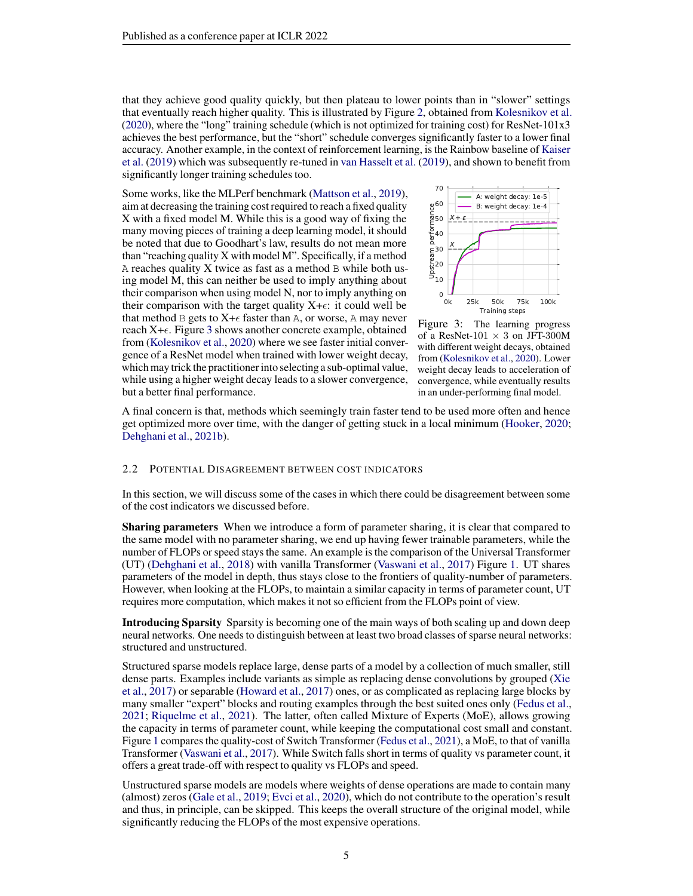that they achieve good quality quickly, but then plateau to lower points than in "slower" settings that eventually reach higher quality. This is illustrated by Figure [2,](#page-3-0) obtained from [Kolesnikov et al.](#page-10-8) [\(2020\)](#page-10-8), where the "long" training schedule (which is not optimized for training cost) for ResNet-101x3 achieves the best performance, but the "short" schedule converges significantly faster to a lower final accuracy. Another example, in the context of reinforcement learning, is the Rainbow baseline of [Kaiser](#page-10-9) [et al.](#page-10-9) [\(2019\)](#page-10-9) which was subsequently re-tuned in [van Hasselt et al.](#page-13-8) [\(2019\)](#page-13-8), and shown to benefit from significantly longer training schedules too.

Some works, like the MLPerf benchmark [\(Mattson et al.,](#page-11-12) [2019\)](#page-11-12), aim at decreasing the training cost required to reach a fixed quality X with a fixed model M. While this is a good way of fixing the many moving pieces of training a deep learning model, it should be noted that due to Goodhart's law, results do not mean more than "reaching quality X with model M". Specifically, if a method A reaches quality  $X$  twice as fast as a method  $B$  while both using model M, this can neither be used to imply anything about their comparison when using model N, nor to imply anything on their comparison with the target quality  $X+\epsilon$ : it could well be that method B gets to  $X+\epsilon$  faster than A, or worse, A may never reach  $X+\epsilon$ . Figure [3](#page-4-0) shows another concrete example, obtained from [\(Kolesnikov et al.,](#page-10-8) [2020\)](#page-10-8) where we see faster initial convergence of a ResNet model when trained with lower weight decay, which may trick the practitioner into selecting a sub-optimal value, while using a higher weight decay leads to a slower convergence, but a better final performance.

<span id="page-4-0"></span>

Figure 3: The learning progress of a ResNet-101  $\times$  3 on JFT-300M with different weight decays, obtained from [\(Kolesnikov et al.,](#page-10-8) [2020\)](#page-10-8). Lower weight decay leads to acceleration of convergence, while eventually results in an under-performing final model.

A final concern is that, methods which seemingly train faster tend to be used more often and hence get optimized more over time, with the danger of getting stuck in a local minimum [\(Hooker,](#page-10-10) [2020;](#page-10-10) [Dehghani et al.,](#page-9-11) [2021b\)](#page-9-11).

#### 2.2 POTENTIAL DISAGREEMENT BETWEEN COST INDICATORS

In this section, we will discuss some of the cases in which there could be disagreement between some of the cost indicators we discussed before.

**Sharing parameters** When we introduce a form of parameter sharing, it is clear that compared to the same model with no parameter sharing, we end up having fewer trainable parameters, while the number of FLOPs or speed stays the same. An example is the comparison of the Universal Transformer (UT) [\(Dehghani et al.,](#page-9-3) [2018\)](#page-9-3) with vanilla Transformer [\(Vaswani et al.,](#page-13-9) [2017\)](#page-13-9) Figure [1.](#page-1-0) UT shares parameters of the model in depth, thus stays close to the frontiers of quality-number of parameters. However, when looking at the FLOPs, to maintain a similar capacity in terms of parameter count, UT requires more computation, which makes it not so efficient from the FLOPs point of view.

Introducing Sparsity Sparsity is becoming one of the main ways of both scaling up and down deep neural networks. One needs to distinguish between at least two broad classes of sparse neural networks: structured and unstructured.

Structured sparse models replace large, dense parts of a model by a collection of much smaller, still dense parts. Examples include variants as simple as replacing dense convolutions by grouped [\(Xie](#page-13-10) [et al.,](#page-13-10) [2017\)](#page-13-10) or separable [\(Howard et al.,](#page-10-11) [2017\)](#page-10-11) ones, or as complicated as replacing large blocks by many smaller "expert" blocks and routing examples through the best suited ones only [\(Fedus et al.,](#page-9-4) [2021;](#page-9-4) [Riquelme et al.,](#page-12-3) [2021\)](#page-12-3). The latter, often called Mixture of Experts (MoE), allows growing the capacity in terms of parameter count, while keeping the computational cost small and constant. Figure [1](#page-1-0) compares the quality-cost of Switch Transformer [\(Fedus et al.,](#page-9-4) [2021\)](#page-9-4), a MoE, to that of vanilla Transformer [\(Vaswani et al.,](#page-13-9) [2017\)](#page-13-9). While Switch falls short in terms of quality vs parameter count, it offers a great trade-off with respect to quality vs FLOPs and speed.

Unstructured sparse models are models where weights of dense operations are made to contain many (almost) zeros [\(Gale et al.,](#page-9-12) [2019;](#page-9-12) [Evci et al.,](#page-9-13) [2020\)](#page-9-13), which do not contribute to the operation's result and thus, in principle, can be skipped. This keeps the overall structure of the original model, while significantly reducing the FLOPs of the most expensive operations.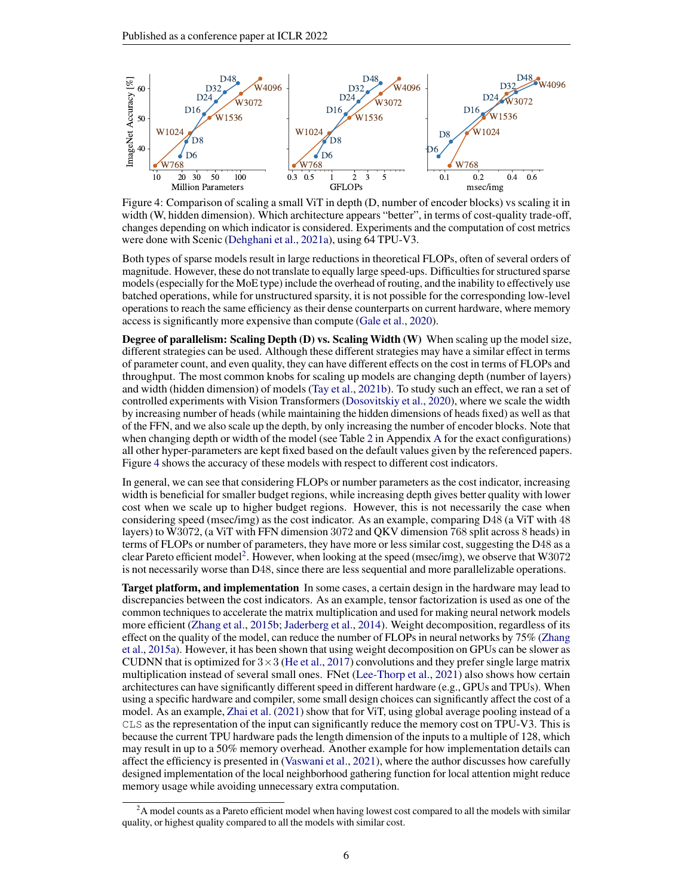<span id="page-5-0"></span>

Figure 4: Comparison of scaling a small ViT in depth (D, number of encoder blocks) vs scaling it in width (W, hidden dimension). Which architecture appears "better", in terms of cost-quality trade-off, changes depending on which indicator is considered. Experiments and the computation of cost metrics were done with Scenic [\(Dehghani et al.,](#page-9-14) [2021a\)](#page-9-14), using 64 TPU-V3.

Both types of sparse models result in large reductions in theoretical FLOPs, often of several orders of magnitude. However, these do not translate to equally large speed-ups. Difficulties for structured sparse models (especially for the MoE type) include the overhead of routing, and the inability to effectively use batched operations, while for unstructured sparsity, it is not possible for the corresponding low-level operations to reach the same efficiency as their dense counterparts on current hardware, where memory access is significantly more expensive than compute [\(Gale et al.,](#page-9-15) [2020\)](#page-9-15).

Degree of parallelism: Scaling Depth (D) vs. Scaling Width (W) When scaling up the model size, different strategies can be used. Although these different strategies may have a similar effect in terms of parameter count, and even quality, they can have different effects on the cost in terms of FLOPs and throughput. The most common knobs for scaling up models are changing depth (number of layers) and width (hidden dimension) of models [\(Tay et al.,](#page-13-5) [2021b\)](#page-13-5). To study such an effect, we ran a set of controlled experiments with Vision Transformers [\(Dosovitskiy et al.,](#page-9-7) [2020\)](#page-9-7), where we scale the width by increasing number of heads (while maintaining the hidden dimensions of heads fixed) as well as that of the FFN, and we also scale up the depth, by only increasing the number of encoder blocks. Note that when changing depth or width of the model (see Table [2](#page-15-1) in [A](#page-15-2)ppendix A for the exact configurations) all other hyper-parameters are kept fixed based on the default values given by the referenced papers. Figure [4](#page-5-0) shows the accuracy of these models with respect to different cost indicators.

In general, we can see that considering FLOPs or number parameters as the cost indicator, increasing width is beneficial for smaller budget regions, while increasing depth gives better quality with lower cost when we scale up to higher budget regions. However, this is not necessarily the case when considering speed (msec/img) as the cost indicator. As an example, comparing D48 (a ViT with 48 layers) to W3072, (a ViT with FFN dimension 3072 and QKV dimension 768 split across 8 heads) in terms of FLOPs or number of parameters, they have more or less similar cost, suggesting the D48 as a clear Pareto efficient model<sup>[2](#page-5-1)</sup>. However, when looking at the speed (msec/img), we observe that W3072 is not necessarily worse than D48, since there are less sequential and more parallelizable operations.

Target platform, and implementation In some cases, a certain design in the hardware may lead to discrepancies between the cost indicators. As an example, tensor factorization is used as one of the common techniques to accelerate the matrix multiplication and used for making neural network models more efficient [\(Zhang et al.,](#page-14-1) [2015b;](#page-14-1) [Jaderberg et al.,](#page-10-12) [2014\)](#page-10-12). Weight decomposition, regardless of its effect on the quality of the model, can reduce the number of FLOPs in neural networks by 75% [\(Zhang](#page-14-2) [et al.,](#page-14-2) [2015a\)](#page-14-2). However, it has been shown that using weight decomposition on GPUs can be slower as CUDNN that is optimized for  $3\times3$  [\(He et al.,](#page-10-13) [2017\)](#page-10-13) convolutions and they prefer single large matrix multiplication instead of several small ones. FNet [\(Lee-Thorp et al.,](#page-11-5) [2021\)](#page-11-5) also shows how certain architectures can have significantly different speed in different hardware (e.g., GPUs and TPUs). When using a specific hardware and compiler, some small design choices can significantly affect the cost of a model. As an example, [Zhai et al.](#page-14-3) [\(2021\)](#page-14-3) show that for ViT, using global average pooling instead of a CLS as the representation of the input can significantly reduce the memory cost on TPU-V3. This is because the current TPU hardware pads the length dimension of the inputs to a multiple of 128, which may result in up to a 50% memory overhead. Another example for how implementation details can affect the efficiency is presented in [\(Vaswani et al.,](#page-13-11) [2021\)](#page-13-11), where the author discusses how carefully designed implementation of the local neighborhood gathering function for local attention might reduce memory usage while avoiding unnecessary extra computation.

<span id="page-5-1"></span><sup>&</sup>lt;sup>2</sup>A model counts as a Pareto efficient model when having lowest cost compared to all the models with similar quality, or highest quality compared to all the models with similar cost.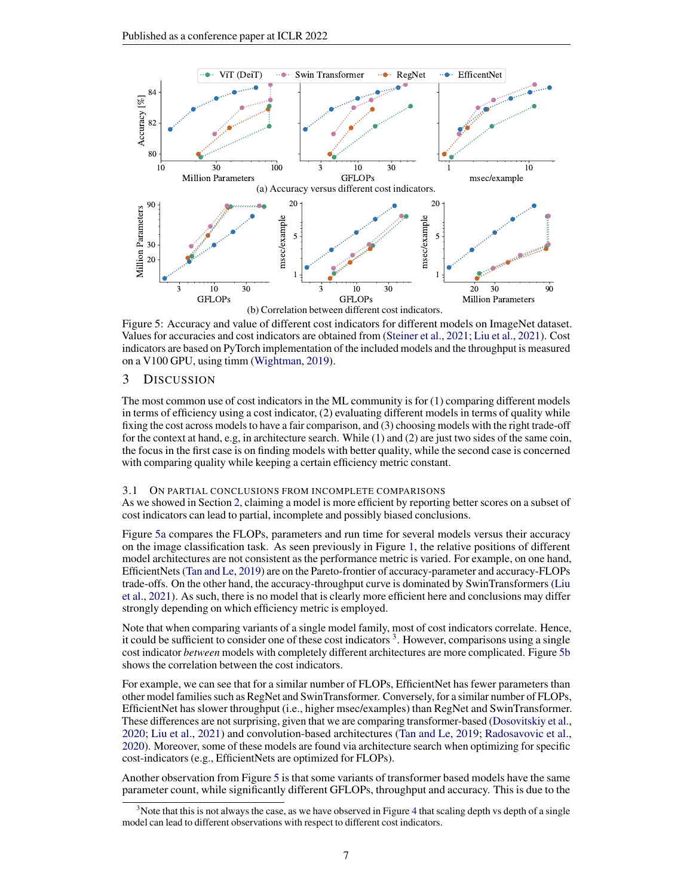<span id="page-6-0"></span>

Figure 5: Accuracy and value of different cost indicators for different models on ImageNet dataset. Values for accuracies and cost indicators are obtained from [\(Steiner et al.,](#page-12-10) [2021;](#page-12-10) [Liu et al.,](#page-11-6) [2021\)](#page-11-6). Cost indicators are based on PyTorch implementation of the included models and the throughput is measured on a V100 GPU, using timm [\(Wightman,](#page-13-12) [2019\)](#page-13-12).

#### 3 DISCUSSION

The most common use of cost indicators in the ML community is for (1) comparing different models in terms of efficiency using a cost indicator, (2) evaluating different models in terms of quality while fixing the cost across models to have a fair comparison, and (3) choosing models with the right trade-off for the context at hand, e.g, in architecture search. While (1) and (2) are just two sides of the same coin, the focus in the first case is on finding models with better quality, while the second case is concerned with comparing quality while keeping a certain efficiency metric constant.

#### 3.1 ON PARTIAL CONCLUSIONS FROM INCOMPLETE COMPARISONS

As we showed in Section [2,](#page-2-1) claiming a model is more efficient by reporting better scores on a subset of cost indicators can lead to partial, incomplete and possibly biased conclusions.

Figure [5a](#page-6-0) compares the FLOPs, parameters and run time for several models versus their accuracy on the image classification task. As seen previously in Figure [1,](#page-1-0) the relative positions of different model architectures are not consistent as the performance metric is varied. For example, on one hand, EfficientNets [\(Tan and Le,](#page-13-0) [2019\)](#page-13-0) are on the Pareto-frontier of accuracy-parameter and accuracy-FLOPs trade-offs. On the other hand, the accuracy-throughput curve is dominated by SwinTransformers [\(Liu](#page-11-6) [et al.,](#page-11-6) [2021\)](#page-11-6). As such, there is no model that is clearly more efficient here and conclusions may differ strongly depending on which efficiency metric is employed.

Note that when comparing variants of a single model family, most of cost indicators correlate. Hence, it could be sufficient to consider one of these cost indicators<sup>[3](#page-6-1)</sup>. However, comparisons using a single cost indicator *between* models with completely different architectures are more complicated. Figure [5b](#page-6-0) shows the correlation between the cost indicators.

For example, we can see that for a similar number of FLOPs, EfficientNet has fewer parameters than other model families such as RegNet and SwinTransformer. Conversely, for a similar number of FLOPs, EfficientNet has slower throughput (i.e., higher msec/examples) than RegNet and SwinTransformer. These differences are not surprising, given that we are comparing transformer-based [\(Dosovitskiy et al.,](#page-9-7) [2020;](#page-9-7) [Liu et al.,](#page-11-6) [2021\)](#page-11-6) and convolution-based architectures [\(Tan and Le,](#page-13-0) [2019;](#page-13-0) [Radosavovic et al.,](#page-12-11) [2020\)](#page-12-11). Moreover, some of these models are found via architecture search when optimizing for specific cost-indicators (e.g., EfficientNets are optimized for FLOPs).

Another observation from Figure [5](#page-6-0) is that some variants of transformer based models have the same parameter count, while significantly different GFLOPs, throughput and accuracy. This is due to the

<span id="page-6-1"></span> $3$ Note that this is not always the case, as we have observed in Figure [4](#page-5-0) that scaling depth vs depth of a single model can lead to different observations with respect to different cost indicators.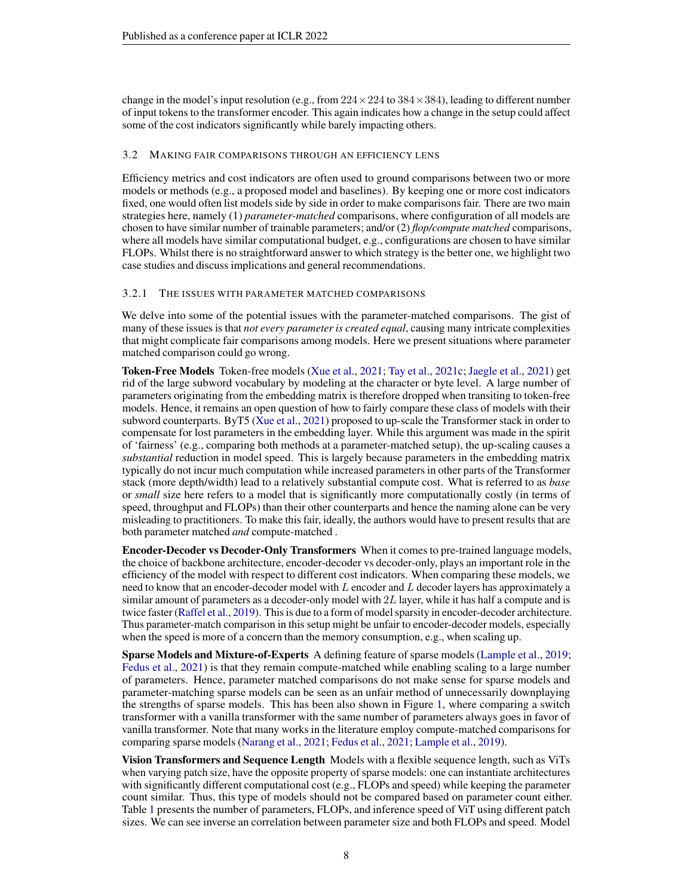change in the model's input resolution (e.g., from  $224 \times 224$  to  $384 \times 384$ ), leading to different number of input tokens to the transformer encoder. This again indicates how a change in the setup could affect some of the cost indicators significantly while barely impacting others.

#### 3.2 MAKING FAIR COMPARISONS THROUGH AN EFFICIENCY LENS

Efficiency metrics and cost indicators are often used to ground comparisons between two or more models or methods (e.g., a proposed model and baselines). By keeping one or more cost indicators fixed, one would often list models side by side in order to make comparisons fair. There are two main strategies here, namely (1) *parameter-matched* comparisons, where configuration of all models are chosen to have similar number of trainable parameters; and/or (2) *flop/compute matched* comparisons, where all models have similar computational budget, e.g., configurations are chosen to have similar FLOPs. Whilst there is no straightforward answer to which strategy is the better one, we highlight two case studies and discuss implications and general recommendations.

### 3.2.1 THE ISSUES WITH PARAMETER MATCHED COMPARISONS

We delve into some of the potential issues with the parameter-matched comparisons. The gist of many of these issues is that *not every parameter is created equal*, causing many intricate complexities that might complicate fair comparisons among models. Here we present situations where parameter matched comparison could go wrong.

Token-Free Models Token-free models [\(Xue et al.,](#page-13-2) [2021;](#page-13-2) [Tay et al.,](#page-13-13) [2021c;](#page-13-13) [Jaegle et al.,](#page-10-14) [2021\)](#page-10-14) get rid of the large subword vocabulary by modeling at the character or byte level. A large number of parameters originating from the embedding matrix is therefore dropped when transiting to token-free models. Hence, it remains an open question of how to fairly compare these class of models with their subword counterparts. ByT5 [\(Xue et al.,](#page-13-2) [2021\)](#page-13-2) proposed to up-scale the Transformer stack in order to compensate for lost parameters in the embedding layer. While this argument was made in the spirit of 'fairness' (e.g., comparing both methods at a parameter-matched setup), the up-scaling causes a *substantial* reduction in model speed. This is largely because parameters in the embedding matrix typically do not incur much computation while increased parameters in other parts of the Transformer stack (more depth/width) lead to a relatively substantial compute cost. What is referred to as *base* or *small* size here refers to a model that is significantly more computationally costly (in terms of speed, throughput and FLOPs) than their other counterparts and hence the naming alone can be very misleading to practitioners. To make this fair, ideally, the authors would have to present results that are both parameter matched *and* compute-matched .

Encoder-Decoder vs Decoder-Only Transformers When it comes to pre-trained language models, the choice of backbone architecture, encoder-decoder vs decoder-only, plays an important role in the efficiency of the model with respect to different cost indicators. When comparing these models, we need to know that an encoder-decoder model with L encoder and L decoder layers has approximately a similar amount of parameters as a decoder-only model with 2L layer, while it has half a compute and is twice faster [\(Raffel et al.,](#page-12-6) [2019\)](#page-12-6). This is due to a form of model sparsity in encoder-decoder architecture. Thus parameter-match comparison in this setup might be unfair to encoder-decoder models, especially when the speed is more of a concern than the memory consumption, e.g., when scaling up.

Sparse Models and Mixture-of-Experts A defining feature of sparse models [\(Lample et al.,](#page-11-13) [2019;](#page-11-13) [Fedus et al.,](#page-9-4) [2021\)](#page-9-4) is that they remain compute-matched while enabling scaling to a large number of parameters. Hence, parameter matched comparisons do not make sense for sparse models and parameter-matching sparse models can be seen as an unfair method of unnecessarily downplaying the strengths of sparse models. This has been also shown in Figure [1,](#page-1-0) where comparing a switch transformer with a vanilla transformer with the same number of parameters always goes in favor of vanilla transformer. Note that many works in the literature employ compute-matched comparisons for comparing sparse models [\(Narang et al.,](#page-11-14) [2021;](#page-11-14) [Fedus et al.,](#page-9-4) [2021;](#page-9-4) [Lample et al.,](#page-11-13) [2019\)](#page-11-13).

Vision Transformers and Sequence Length Models with a flexible sequence length, such as ViTs when varying patch size, have the opposite property of sparse models: one can instantiate architectures with significantly different computational cost (e.g., FLOPs and speed) while keeping the parameter count similar. Thus, this type of models should not be compared based on parameter count either. Table [1](#page-8-0) presents the number of parameters, FLOPs, and inference speed of ViT using different patch sizes. We can see inverse an correlation between parameter size and both FLOPs and speed. Model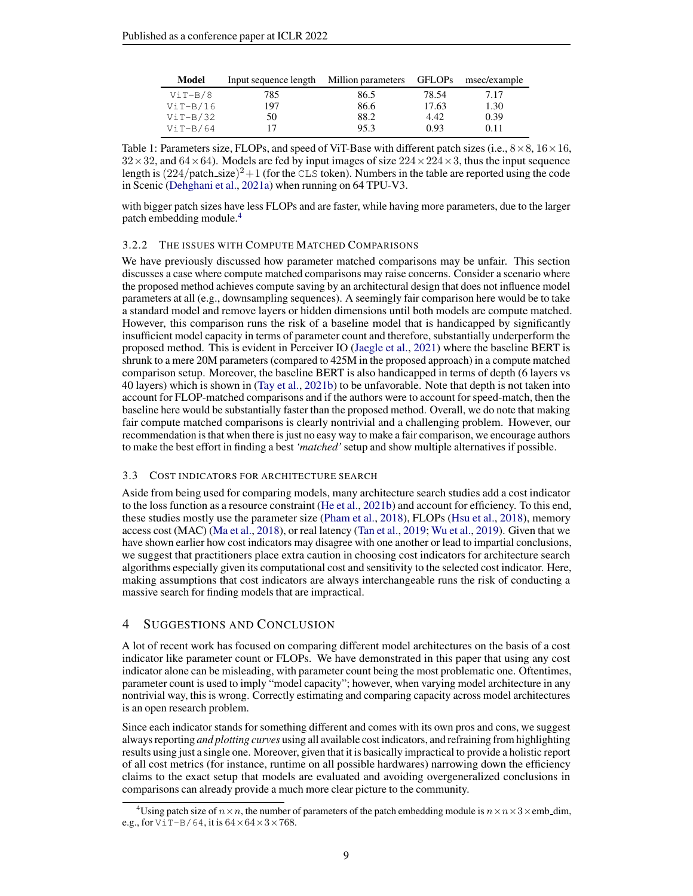<span id="page-8-0"></span>

| Model      | Input sequence length Million parameters GFLOPs msec/example |      |       |      |
|------------|--------------------------------------------------------------|------|-------|------|
| ViT-B/8    | 785                                                          | 86.5 | 78.54 | 7.17 |
| $ViT-B/16$ | 197                                                          | 86.6 | 17.63 | 1.30 |
| $ViT-B/32$ | 50                                                           | 88.2 | 4.42  | 0.39 |
| $ViT-B/64$ | 17                                                           | 95.3 | 0.93  | 0.11 |

Table 1: Parameters size, FLOPs, and speed of ViT-Base with different patch sizes (i.e.,  $8 \times 8$ ,  $16 \times 16$ ,  $32\times32$ , and  $64\times64$ ). Models are fed by input images of size  $224\times224\times3$ , thus the input sequence length is  $(224/\text{patch\_size})^2 + 1$  (for the CLS token). Numbers in the table are reported using the code in Scenic [\(Dehghani et al.,](#page-9-14) [2021a\)](#page-9-14) when running on 64 TPU-V3.

with bigger patch sizes have less FLOPs and are faster, while having more parameters, due to the larger patch embedding module.<sup>[4](#page-8-1)</sup>

#### 3.2.2 THE ISSUES WITH COMPUTE MATCHED COMPARISONS

We have previously discussed how parameter matched comparisons may be unfair. This section discusses a case where compute matched comparisons may raise concerns. Consider a scenario where the proposed method achieves compute saving by an architectural design that does not influence model parameters at all (e.g., downsampling sequences). A seemingly fair comparison here would be to take a standard model and remove layers or hidden dimensions until both models are compute matched. However, this comparison runs the risk of a baseline model that is handicapped by significantly insufficient model capacity in terms of parameter count and therefore, substantially underperform the proposed method. This is evident in Perceiver IO [\(Jaegle et al.,](#page-10-14) [2021\)](#page-10-14) where the baseline BERT is shrunk to a mere 20M parameters (compared to 425M in the proposed approach) in a compute matched comparison setup. Moreover, the baseline BERT is also handicapped in terms of depth (6 layers vs 40 layers) which is shown in [\(Tay et al.,](#page-13-5) [2021b\)](#page-13-5) to be unfavorable. Note that depth is not taken into account for FLOP-matched comparisons and if the authors were to account for speed-match, then the baseline here would be substantially faster than the proposed method. Overall, we do note that making fair compute matched comparisons is clearly nontrivial and a challenging problem. However, our recommendation is that when there is just no easy way to make a fair comparison, we encourage authors to make the best effort in finding a best *'matched'* setup and show multiple alternatives if possible.

#### 3.3 COST INDICATORS FOR ARCHITECTURE SEARCH

Aside from being used for comparing models, many architecture search studies add a cost indicator to the loss function as a resource constraint [\(He et al.,](#page-10-15) [2021b\)](#page-10-15) and account for efficiency. To this end, these studies mostly use the parameter size [\(Pham et al.,](#page-12-12) [2018\)](#page-12-12), FLOPs [\(Hsu et al.,](#page-10-16) [2018\)](#page-10-16), memory access cost (MAC) [\(Ma et al.,](#page-11-10) [2018\)](#page-11-10), or real latency [\(Tan et al.,](#page-13-14) [2019;](#page-13-14) [Wu et al.,](#page-13-15) [2019\)](#page-13-15). Given that we have shown earlier how cost indicators may disagree with one another or lead to impartial conclusions, we suggest that practitioners place extra caution in choosing cost indicators for architecture search algorithms especially given its computational cost and sensitivity to the selected cost indicator. Here, making assumptions that cost indicators are always interchangeable runs the risk of conducting a massive search for finding models that are impractical.

#### 4 SUGGESTIONS AND CONCLUSION

A lot of recent work has focused on comparing different model architectures on the basis of a cost indicator like parameter count or FLOPs. We have demonstrated in this paper that using any cost indicator alone can be misleading, with parameter count being the most problematic one. Oftentimes, parameter count is used to imply "model capacity"; however, when varying model architecture in any nontrivial way, this is wrong. Correctly estimating and comparing capacity across model architectures is an open research problem.

Since each indicator stands for something different and comes with its own pros and cons, we suggest always reporting *and plotting curves* using all available cost indicators, and refraining from highlighting results using just a single one. Moreover, given that it is basically impractical to provide a holistic report of all cost metrics (for instance, runtime on all possible hardwares) narrowing down the efficiency claims to the exact setup that models are evaluated and avoiding overgeneralized conclusions in comparisons can already provide a much more clear picture to the community.

<span id="page-8-1"></span><sup>&</sup>lt;sup>4</sup>Using patch size of  $n \times n$ , the number of parameters of the patch embedding module is  $n \times n \times 3 \times$ emb\_dim, e.g., for  $ViT-B/64$ , it is  $64 \times 64 \times 3 \times 768$ .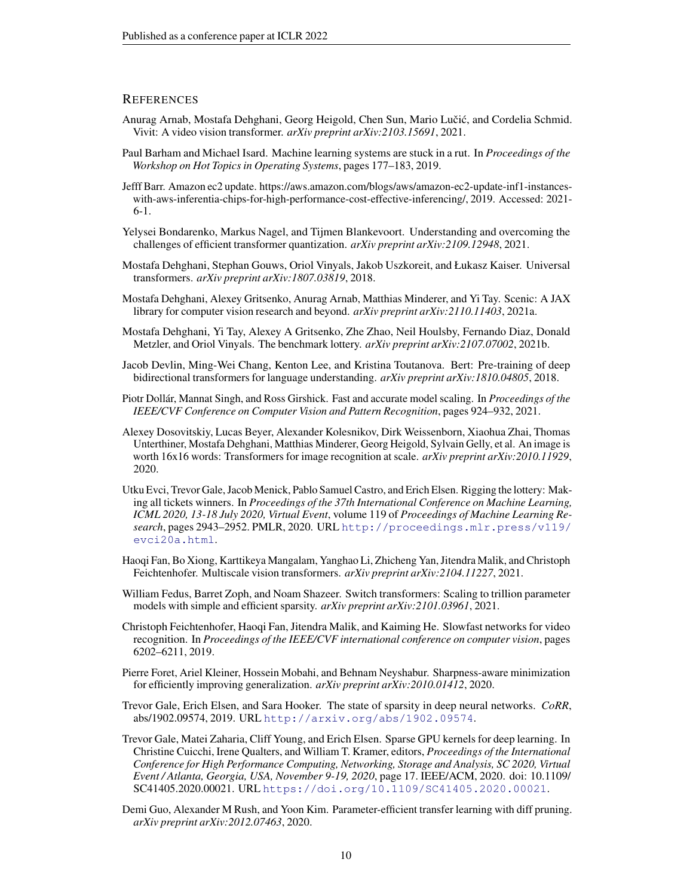#### **REFERENCES**

- <span id="page-9-5"></span>Anurag Arnab, Mostafa Dehghani, Georg Heigold, Chen Sun, Mario Lučić, and Cordelia Schmid. Vivit: A video vision transformer. *arXiv preprint arXiv:2103.15691*, 2021.
- <span id="page-9-8"></span>Paul Barham and Michael Isard. Machine learning systems are stuck in a rut. In *Proceedings of the Workshop on Hot Topics in Operating Systems*, pages 177–183, 2019.
- <span id="page-9-9"></span>Jefff Barr. Amazon ec2 update. https://aws.amazon.com/blogs/aws/amazon-ec2-update-inf1-instanceswith-aws-inferentia-chips-for-high-performance-cost-effective-inferencing/, 2019. Accessed: 2021- 6-1.
- <span id="page-9-17"></span>Yelysei Bondarenko, Markus Nagel, and Tijmen Blankevoort. Understanding and overcoming the challenges of efficient transformer quantization. *arXiv preprint arXiv:2109.12948*, 2021.
- <span id="page-9-3"></span>Mostafa Dehghani, Stephan Gouws, Oriol Vinyals, Jakob Uszkoreit, and Łukasz Kaiser. Universal transformers. *arXiv preprint arXiv:1807.03819*, 2018.
- <span id="page-9-14"></span>Mostafa Dehghani, Alexey Gritsenko, Anurag Arnab, Matthias Minderer, and Yi Tay. Scenic: A JAX library for computer vision research and beyond. *arXiv preprint arXiv:2110.11403*, 2021a.
- <span id="page-9-11"></span>Mostafa Dehghani, Yi Tay, Alexey A Gritsenko, Zhe Zhao, Neil Houlsby, Fernando Diaz, Donald Metzler, and Oriol Vinyals. The benchmark lottery. *arXiv preprint arXiv:2107.07002*, 2021b.
- <span id="page-9-2"></span>Jacob Devlin, Ming-Wei Chang, Kenton Lee, and Kristina Toutanova. Bert: Pre-training of deep bidirectional transformers for language understanding. *arXiv preprint arXiv:1810.04805*, 2018.
- <span id="page-9-16"></span>Piotr Dollár, Mannat Singh, and Ross Girshick. Fast and accurate model scaling. In *Proceedings of the IEEE/CVF Conference on Computer Vision and Pattern Recognition*, pages 924–932, 2021.
- <span id="page-9-7"></span>Alexey Dosovitskiy, Lucas Beyer, Alexander Kolesnikov, Dirk Weissenborn, Xiaohua Zhai, Thomas Unterthiner, Mostafa Dehghani, Matthias Minderer, Georg Heigold, Sylvain Gelly, et al. An image is worth 16x16 words: Transformers for image recognition at scale. *arXiv preprint arXiv:2010.11929*, 2020.
- <span id="page-9-13"></span>Utku Evci, Trevor Gale, Jacob Menick, Pablo Samuel Castro, and Erich Elsen. Rigging the lottery: Making all tickets winners. In *Proceedings of the 37th International Conference on Machine Learning, ICML 2020, 13-18 July 2020, Virtual Event*, volume 119 of *Proceedings of Machine Learning Research*, pages 2943–2952. PMLR, 2020. URL [http://proceedings.mlr.press/v119/](http://proceedings.mlr.press/v119/evci20a.html) [evci20a.html](http://proceedings.mlr.press/v119/evci20a.html).
- <span id="page-9-1"></span>Haoqi Fan, Bo Xiong, Karttikeya Mangalam, Yanghao Li, Zhicheng Yan, Jitendra Malik, and Christoph Feichtenhofer. Multiscale vision transformers. *arXiv preprint arXiv:2104.11227*, 2021.
- <span id="page-9-4"></span>William Fedus, Barret Zoph, and Noam Shazeer. Switch transformers: Scaling to trillion parameter models with simple and efficient sparsity. *arXiv preprint arXiv:2101.03961*, 2021.
- <span id="page-9-0"></span>Christoph Feichtenhofer, Haoqi Fan, Jitendra Malik, and Kaiming He. Slowfast networks for video recognition. In *Proceedings of the IEEE/CVF international conference on computer vision*, pages 6202–6211, 2019.
- <span id="page-9-10"></span>Pierre Foret, Ariel Kleiner, Hossein Mobahi, and Behnam Neyshabur. Sharpness-aware minimization for efficiently improving generalization. *arXiv preprint arXiv:2010.01412*, 2020.
- <span id="page-9-12"></span>Trevor Gale, Erich Elsen, and Sara Hooker. The state of sparsity in deep neural networks. *CoRR*, abs/1902.09574, 2019. URL <http://arxiv.org/abs/1902.09574>.
- <span id="page-9-15"></span>Trevor Gale, Matei Zaharia, Cliff Young, and Erich Elsen. Sparse GPU kernels for deep learning. In Christine Cuicchi, Irene Qualters, and William T. Kramer, editors, *Proceedings of the International Conference for High Performance Computing, Networking, Storage and Analysis, SC 2020, Virtual Event / Atlanta, Georgia, USA, November 9-19, 2020*, page 17. IEEE/ACM, 2020. doi: 10.1109/ SC41405.2020.00021. URL <https://doi.org/10.1109/SC41405.2020.00021>.
- <span id="page-9-6"></span>Demi Guo, Alexander M Rush, and Yoon Kim. Parameter-efficient transfer learning with diff pruning. *arXiv preprint arXiv:2012.07463*, 2020.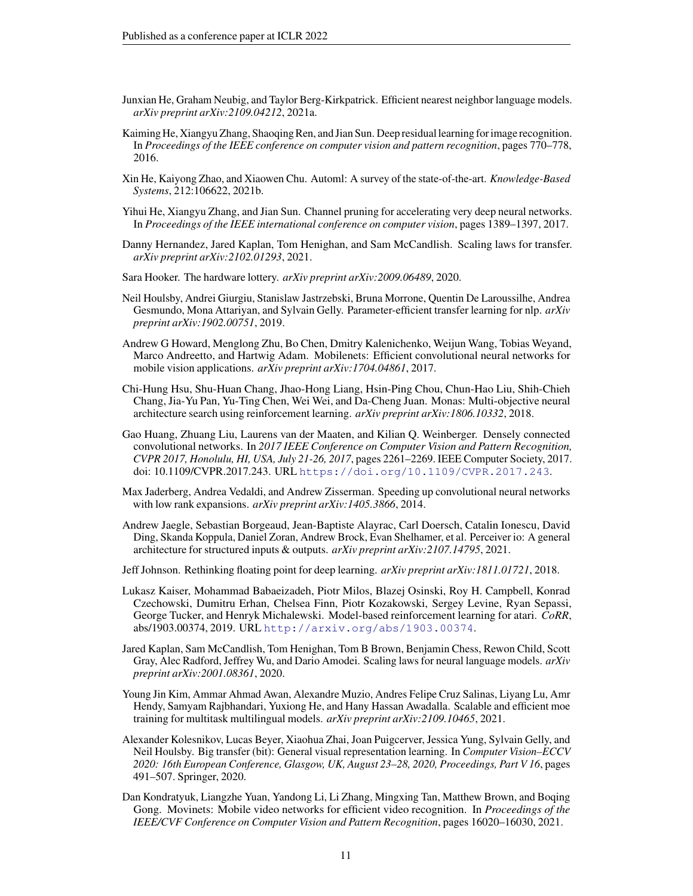- <span id="page-10-7"></span>Junxian He, Graham Neubig, and Taylor Berg-Kirkpatrick. Efficient nearest neighbor language models. *arXiv preprint arXiv:2109.04212*, 2021a.
- <span id="page-10-0"></span>Kaiming He, Xiangyu Zhang, Shaoqing Ren, and Jian Sun. Deep residual learning for image recognition. In *Proceedings of the IEEE conference on computer vision and pattern recognition*, pages 770–778, 2016.
- <span id="page-10-15"></span>Xin He, Kaiyong Zhao, and Xiaowen Chu. Automl: A survey of the state-of-the-art. *Knowledge-Based Systems*, 212:106622, 2021b.
- <span id="page-10-13"></span>Yihui He, Xiangyu Zhang, and Jian Sun. Channel pruning for accelerating very deep neural networks. In *Proceedings of the IEEE international conference on computer vision*, pages 1389–1397, 2017.
- <span id="page-10-6"></span>Danny Hernandez, Jared Kaplan, Tom Henighan, and Sam McCandlish. Scaling laws for transfer. *arXiv preprint arXiv:2102.01293*, 2021.
- <span id="page-10-10"></span>Sara Hooker. The hardware lottery. *arXiv preprint arXiv:2009.06489*, 2020.
- <span id="page-10-4"></span>Neil Houlsby, Andrei Giurgiu, Stanislaw Jastrzebski, Bruna Morrone, Quentin De Laroussilhe, Andrea Gesmundo, Mona Attariyan, and Sylvain Gelly. Parameter-efficient transfer learning for nlp. *arXiv preprint arXiv:1902.00751*, 2019.
- <span id="page-10-11"></span>Andrew G Howard, Menglong Zhu, Bo Chen, Dmitry Kalenichenko, Weijun Wang, Tobias Weyand, Marco Andreetto, and Hartwig Adam. Mobilenets: Efficient convolutional neural networks for mobile vision applications. *arXiv preprint arXiv:1704.04861*, 2017.
- <span id="page-10-16"></span>Chi-Hung Hsu, Shu-Huan Chang, Jhao-Hong Liang, Hsin-Ping Chou, Chun-Hao Liu, Shih-Chieh Chang, Jia-Yu Pan, Yu-Ting Chen, Wei Wei, and Da-Cheng Juan. Monas: Multi-objective neural architecture search using reinforcement learning. *arXiv preprint arXiv:1806.10332*, 2018.
- <span id="page-10-1"></span>Gao Huang, Zhuang Liu, Laurens van der Maaten, and Kilian Q. Weinberger. Densely connected convolutional networks. In *2017 IEEE Conference on Computer Vision and Pattern Recognition, CVPR 2017, Honolulu, HI, USA, July 21-26, 2017*, pages 2261–2269. IEEE Computer Society, 2017. doi: 10.1109/CVPR.2017.243. URL <https://doi.org/10.1109/CVPR.2017.243>.
- <span id="page-10-12"></span>Max Jaderberg, Andrea Vedaldi, and Andrew Zisserman. Speeding up convolutional neural networks with low rank expansions. *arXiv preprint arXiv:1405.3866*, 2014.
- <span id="page-10-14"></span>Andrew Jaegle, Sebastian Borgeaud, Jean-Baptiste Alayrac, Carl Doersch, Catalin Ionescu, David Ding, Skanda Koppula, Daniel Zoran, Andrew Brock, Evan Shelhamer, et al. Perceiver io: A general architecture for structured inputs & outputs. *arXiv preprint arXiv:2107.14795*, 2021.
- <span id="page-10-2"></span>Jeff Johnson. Rethinking floating point for deep learning. *arXiv preprint arXiv:1811.01721*, 2018.
- <span id="page-10-9"></span>Lukasz Kaiser, Mohammad Babaeizadeh, Piotr Milos, Blazej Osinski, Roy H. Campbell, Konrad Czechowski, Dumitru Erhan, Chelsea Finn, Piotr Kozakowski, Sergey Levine, Ryan Sepassi, George Tucker, and Henryk Michalewski. Model-based reinforcement learning for atari. *CoRR*, abs/1903.00374, 2019. URL <http://arxiv.org/abs/1903.00374>.
- <span id="page-10-5"></span>Jared Kaplan, Sam McCandlish, Tom Henighan, Tom B Brown, Benjamin Chess, Rewon Child, Scott Gray, Alec Radford, Jeffrey Wu, and Dario Amodei. Scaling laws for neural language models. *arXiv preprint arXiv:2001.08361*, 2020.
- <span id="page-10-3"></span>Young Jin Kim, Ammar Ahmad Awan, Alexandre Muzio, Andres Felipe Cruz Salinas, Liyang Lu, Amr Hendy, Samyam Rajbhandari, Yuxiong He, and Hany Hassan Awadalla. Scalable and efficient moe training for multitask multilingual models. *arXiv preprint arXiv:2109.10465*, 2021.
- <span id="page-10-8"></span>Alexander Kolesnikov, Lucas Beyer, Xiaohua Zhai, Joan Puigcerver, Jessica Yung, Sylvain Gelly, and Neil Houlsby. Big transfer (bit): General visual representation learning. In *Computer Vision–ECCV 2020: 16th European Conference, Glasgow, UK, August 23–28, 2020, Proceedings, Part V 16*, pages 491–507. Springer, 2020.
- <span id="page-10-17"></span>Dan Kondratyuk, Liangzhe Yuan, Yandong Li, Li Zhang, Mingxing Tan, Matthew Brown, and Boqing Gong. Movinets: Mobile video networks for efficient video recognition. In *Proceedings of the IEEE/CVF Conference on Computer Vision and Pattern Recognition*, pages 16020–16030, 2021.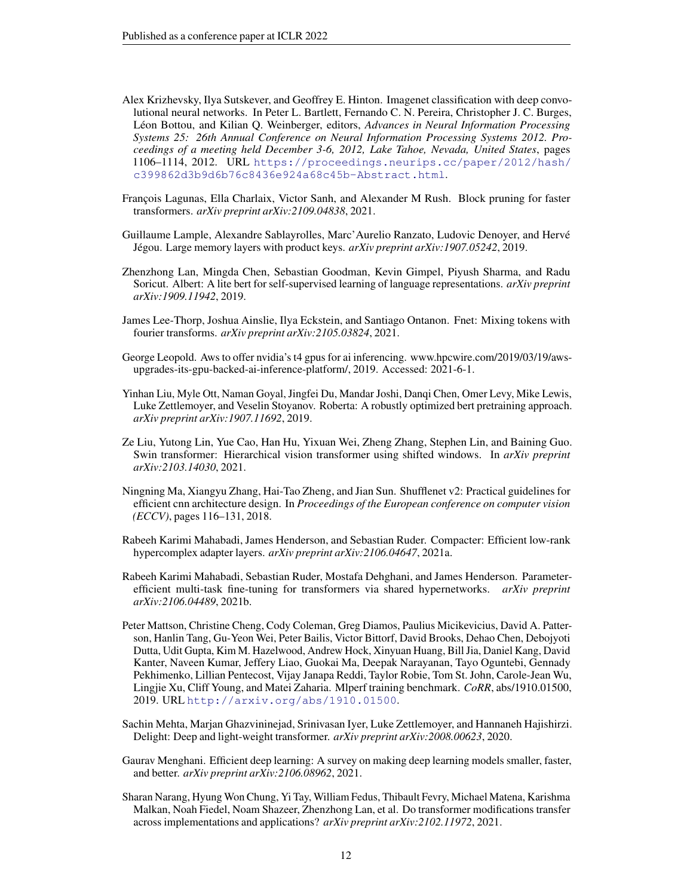- <span id="page-11-3"></span>Alex Krizhevsky, Ilya Sutskever, and Geoffrey E. Hinton. Imagenet classification with deep convolutional neural networks. In Peter L. Bartlett, Fernando C. N. Pereira, Christopher J. C. Burges, Léon Bottou, and Kilian Q. Weinberger, editors, *Advances in Neural Information Processing Systems 25: 26th Annual Conference on Neural Information Processing Systems 2012. Proceedings of a meeting held December 3-6, 2012, Lake Tahoe, Nevada, United States*, pages 1106–1114, 2012. URL [https://proceedings.neurips.cc/paper/2012/hash/](https://proceedings.neurips.cc/paper/2012/hash/c399862d3b9d6b76c8436e924a68c45b-Abstract.html) [c399862d3b9d6b76c8436e924a68c45b-Abstract.html](https://proceedings.neurips.cc/paper/2012/hash/c399862d3b9d6b76c8436e924a68c45b-Abstract.html).
- <span id="page-11-9"></span>François Lagunas, Ella Charlaix, Victor Sanh, and Alexander M Rush. Block pruning for faster transformers. *arXiv preprint arXiv:2109.04838*, 2021.
- <span id="page-11-13"></span>Guillaume Lample, Alexandre Sablayrolles, Marc'Aurelio Ranzato, Ludovic Denoyer, and Herve´ Jégou. Large memory layers with product keys. arXiv preprint arXiv:1907.05242, 2019.
- <span id="page-11-2"></span>Zhenzhong Lan, Mingda Chen, Sebastian Goodman, Kevin Gimpel, Piyush Sharma, and Radu Soricut. Albert: A lite bert for self-supervised learning of language representations. *arXiv preprint arXiv:1909.11942*, 2019.
- <span id="page-11-5"></span>James Lee-Thorp, Joshua Ainslie, Ilya Eckstein, and Santiago Ontanon. Fnet: Mixing tokens with fourier transforms. *arXiv preprint arXiv:2105.03824*, 2021.
- <span id="page-11-11"></span>George Leopold. Aws to offer nvidia's t4 gpus for ai inferencing. www.hpcwire.com/2019/03/19/awsupgrades-its-gpu-backed-ai-inference-platform/, 2019. Accessed: 2021-6-1.
- <span id="page-11-1"></span>Yinhan Liu, Myle Ott, Naman Goyal, Jingfei Du, Mandar Joshi, Danqi Chen, Omer Levy, Mike Lewis, Luke Zettlemoyer, and Veselin Stoyanov. Roberta: A robustly optimized bert pretraining approach. *arXiv preprint arXiv:1907.11692*, 2019.
- <span id="page-11-6"></span>Ze Liu, Yutong Lin, Yue Cao, Han Hu, Yixuan Wei, Zheng Zhang, Stephen Lin, and Baining Guo. Swin transformer: Hierarchical vision transformer using shifted windows. In *arXiv preprint arXiv:2103.14030*, 2021.
- <span id="page-11-10"></span>Ningning Ma, Xiangyu Zhang, Hai-Tao Zheng, and Jian Sun. Shufflenet v2: Practical guidelines for efficient cnn architecture design. In *Proceedings of the European conference on computer vision (ECCV)*, pages 116–131, 2018.
- <span id="page-11-7"></span>Rabeeh Karimi Mahabadi, James Henderson, and Sebastian Ruder. Compacter: Efficient low-rank hypercomplex adapter layers. *arXiv preprint arXiv:2106.04647*, 2021a.
- <span id="page-11-8"></span>Rabeeh Karimi Mahabadi, Sebastian Ruder, Mostafa Dehghani, and James Henderson. Parameterefficient multi-task fine-tuning for transformers via shared hypernetworks. *arXiv preprint arXiv:2106.04489*, 2021b.
- <span id="page-11-12"></span>Peter Mattson, Christine Cheng, Cody Coleman, Greg Diamos, Paulius Micikevicius, David A. Patterson, Hanlin Tang, Gu-Yeon Wei, Peter Bailis, Victor Bittorf, David Brooks, Dehao Chen, Debojyoti Dutta, Udit Gupta, Kim M. Hazelwood, Andrew Hock, Xinyuan Huang, Bill Jia, Daniel Kang, David Kanter, Naveen Kumar, Jeffery Liao, Guokai Ma, Deepak Narayanan, Tayo Oguntebi, Gennady Pekhimenko, Lillian Pentecost, Vijay Janapa Reddi, Taylor Robie, Tom St. John, Carole-Jean Wu, Lingjie Xu, Cliff Young, and Matei Zaharia. Mlperf training benchmark. *CoRR*, abs/1910.01500, 2019. URL <http://arxiv.org/abs/1910.01500>.
- <span id="page-11-4"></span>Sachin Mehta, Marjan Ghazvininejad, Srinivasan Iyer, Luke Zettlemoyer, and Hannaneh Hajishirzi. Delight: Deep and light-weight transformer. *arXiv preprint arXiv:2008.00623*, 2020.
- <span id="page-11-0"></span>Gaurav Menghani. Efficient deep learning: A survey on making deep learning models smaller, faster, and better. *arXiv preprint arXiv:2106.08962*, 2021.
- <span id="page-11-14"></span>Sharan Narang, Hyung Won Chung, Yi Tay, William Fedus, Thibault Fevry, Michael Matena, Karishma Malkan, Noah Fiedel, Noam Shazeer, Zhenzhong Lan, et al. Do transformer modifications transfer across implementations and applications? *arXiv preprint arXiv:2102.11972*, 2021.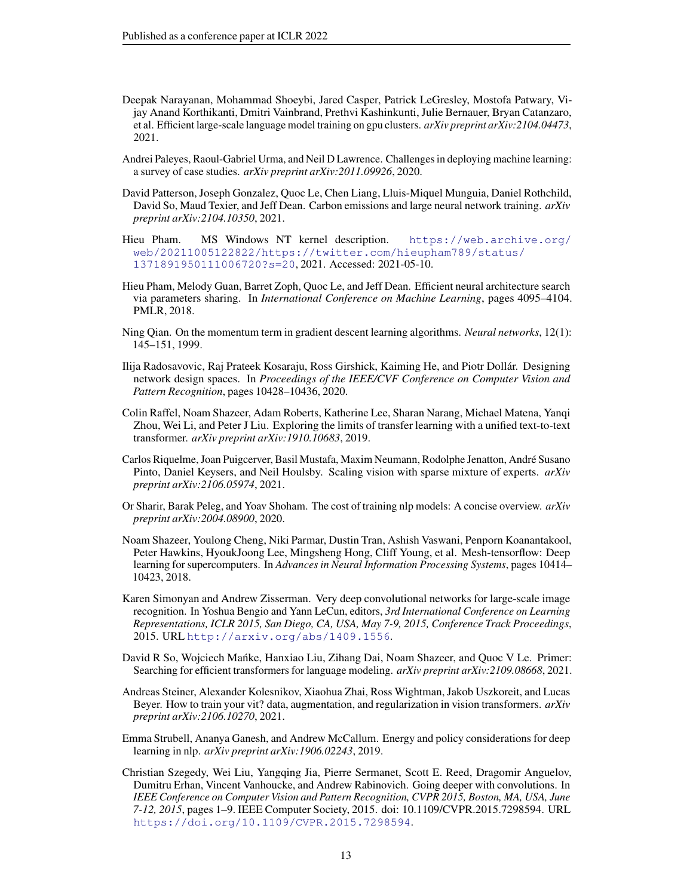- <span id="page-12-5"></span>Deepak Narayanan, Mohammad Shoeybi, Jared Casper, Patrick LeGresley, Mostofa Patwary, Vijay Anand Korthikanti, Dmitri Vainbrand, Prethvi Kashinkunti, Julie Bernauer, Bryan Catanzaro, et al. Efficient large-scale language model training on gpu clusters. *arXiv preprint arXiv:2104.04473*, 2021.
- <span id="page-12-4"></span>Andrei Paleyes, Raoul-Gabriel Urma, and Neil D Lawrence. Challenges in deploying machine learning: a survey of case studies. *arXiv preprint arXiv:2011.09926*, 2020.
- <span id="page-12-14"></span>David Patterson, Joseph Gonzalez, Quoc Le, Chen Liang, Lluis-Miquel Munguia, Daniel Rothchild, David So, Maud Texier, and Jeff Dean. Carbon emissions and large neural network training. *arXiv preprint arXiv:2104.10350*, 2021.
- <span id="page-12-9"></span>Hieu Pham. MS Windows NT kernel description. [https://web.archive.org/](https://web.archive.org/web/20211005122822/https://twitter.com/hieupham789/status/1371891950111006720?s=20) [web/20211005122822/https://twitter.com/hieupham789/status/](https://web.archive.org/web/20211005122822/https://twitter.com/hieupham789/status/1371891950111006720?s=20) [1371891950111006720?s=20](https://web.archive.org/web/20211005122822/https://twitter.com/hieupham789/status/1371891950111006720?s=20), 2021. Accessed: 2021-05-10.
- <span id="page-12-12"></span>Hieu Pham, Melody Guan, Barret Zoph, Quoc Le, and Jeff Dean. Efficient neural architecture search via parameters sharing. In *International Conference on Machine Learning*, pages 4095–4104. PMLR, 2018.
- <span id="page-12-8"></span>Ning Qian. On the momentum term in gradient descent learning algorithms. *Neural networks*, 12(1): 145–151, 1999.
- <span id="page-12-11"></span>Ilija Radosavovic, Raj Prateek Kosaraju, Ross Girshick, Kaiming He, and Piotr Dollar. Designing ´ network design spaces. In *Proceedings of the IEEE/CVF Conference on Computer Vision and Pattern Recognition*, pages 10428–10436, 2020.
- <span id="page-12-6"></span>Colin Raffel, Noam Shazeer, Adam Roberts, Katherine Lee, Sharan Narang, Michael Matena, Yanqi Zhou, Wei Li, and Peter J Liu. Exploring the limits of transfer learning with a unified text-to-text transformer. *arXiv preprint arXiv:1910.10683*, 2019.
- <span id="page-12-3"></span>Carlos Riquelme, Joan Puigcerver, Basil Mustafa, Maxim Neumann, Rodolphe Jenatton, Andre Susano ´ Pinto, Daniel Keysers, and Neil Houlsby. Scaling vision with sparse mixture of experts. *arXiv preprint arXiv:2106.05974*, 2021.
- <span id="page-12-15"></span>Or Sharir, Barak Peleg, and Yoav Shoham. The cost of training nlp models: A concise overview. *arXiv preprint arXiv:2004.08900*, 2020.
- <span id="page-12-2"></span>Noam Shazeer, Youlong Cheng, Niki Parmar, Dustin Tran, Ashish Vaswani, Penporn Koanantakool, Peter Hawkins, HyoukJoong Lee, Mingsheng Hong, Cliff Young, et al. Mesh-tensorflow: Deep learning for supercomputers. In *Advances in Neural Information Processing Systems*, pages 10414– 10423, 2018.
- <span id="page-12-1"></span>Karen Simonyan and Andrew Zisserman. Very deep convolutional networks for large-scale image recognition. In Yoshua Bengio and Yann LeCun, editors, *3rd International Conference on Learning Representations, ICLR 2015, San Diego, CA, USA, May 7-9, 2015, Conference Track Proceedings*, 2015. URL <http://arxiv.org/abs/1409.1556>.
- <span id="page-12-7"></span>David R So, Wojciech Mańke, Hanxiao Liu, Zihang Dai, Noam Shazeer, and Quoc V Le. Primer: Searching for efficient transformers for language modeling. *arXiv preprint arXiv:2109.08668*, 2021.
- <span id="page-12-10"></span>Andreas Steiner, Alexander Kolesnikov, Xiaohua Zhai, Ross Wightman, Jakob Uszkoreit, and Lucas Beyer. How to train your vit? data, augmentation, and regularization in vision transformers. *arXiv preprint arXiv:2106.10270*, 2021.
- <span id="page-12-13"></span>Emma Strubell, Ananya Ganesh, and Andrew McCallum. Energy and policy considerations for deep learning in nlp. *arXiv preprint arXiv:1906.02243*, 2019.
- <span id="page-12-0"></span>Christian Szegedy, Wei Liu, Yangqing Jia, Pierre Sermanet, Scott E. Reed, Dragomir Anguelov, Dumitru Erhan, Vincent Vanhoucke, and Andrew Rabinovich. Going deeper with convolutions. In *IEEE Conference on Computer Vision and Pattern Recognition, CVPR 2015, Boston, MA, USA, June 7-12, 2015*, pages 1–9. IEEE Computer Society, 2015. doi: 10.1109/CVPR.2015.7298594. URL <https://doi.org/10.1109/CVPR.2015.7298594>.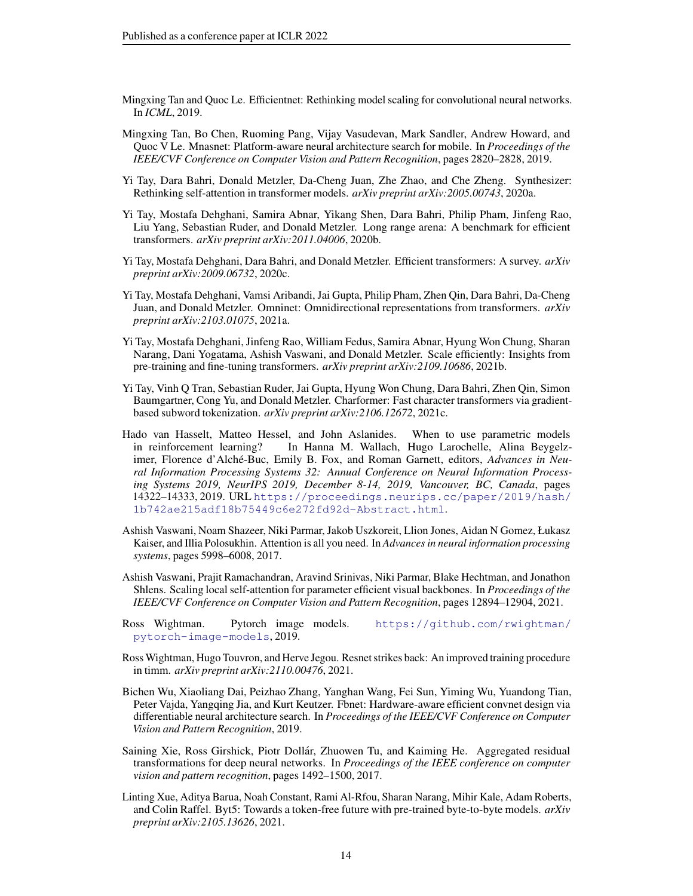- <span id="page-13-0"></span>Mingxing Tan and Quoc Le. Efficientnet: Rethinking model scaling for convolutional neural networks. In *ICML*, 2019.
- <span id="page-13-14"></span>Mingxing Tan, Bo Chen, Ruoming Pang, Vijay Vasudevan, Mark Sandler, Andrew Howard, and Quoc V Le. Mnasnet: Platform-aware neural architecture search for mobile. In *Proceedings of the IEEE/CVF Conference on Computer Vision and Pattern Recognition*, pages 2820–2828, 2019.
- <span id="page-13-1"></span>Yi Tay, Dara Bahri, Donald Metzler, Da-Cheng Juan, Zhe Zhao, and Che Zheng. Synthesizer: Rethinking self-attention in transformer models. *arXiv preprint arXiv:2005.00743*, 2020a.
- <span id="page-13-7"></span>Yi Tay, Mostafa Dehghani, Samira Abnar, Yikang Shen, Dara Bahri, Philip Pham, Jinfeng Rao, Liu Yang, Sebastian Ruder, and Donald Metzler. Long range arena: A benchmark for efficient transformers. *arXiv preprint arXiv:2011.04006*, 2020b.
- <span id="page-13-6"></span>Yi Tay, Mostafa Dehghani, Dara Bahri, and Donald Metzler. Efficient transformers: A survey. *arXiv preprint arXiv:2009.06732*, 2020c.
- <span id="page-13-4"></span>Yi Tay, Mostafa Dehghani, Vamsi Aribandi, Jai Gupta, Philip Pham, Zhen Qin, Dara Bahri, Da-Cheng Juan, and Donald Metzler. Omninet: Omnidirectional representations from transformers. *arXiv preprint arXiv:2103.01075*, 2021a.
- <span id="page-13-5"></span>Yi Tay, Mostafa Dehghani, Jinfeng Rao, William Fedus, Samira Abnar, Hyung Won Chung, Sharan Narang, Dani Yogatama, Ashish Vaswani, and Donald Metzler. Scale efficiently: Insights from pre-training and fine-tuning transformers. *arXiv preprint arXiv:2109.10686*, 2021b.
- <span id="page-13-13"></span>Yi Tay, Vinh Q Tran, Sebastian Ruder, Jai Gupta, Hyung Won Chung, Dara Bahri, Zhen Qin, Simon Baumgartner, Cong Yu, and Donald Metzler. Charformer: Fast character transformers via gradientbased subword tokenization. *arXiv preprint arXiv:2106.12672*, 2021c.
- <span id="page-13-8"></span>Hado van Hasselt, Matteo Hessel, and John Aslanides. When to use parametric models in reinforcement learning? In Hanna M. Wallach, Hugo Larochelle, Alina Beygelzimer, Florence d'Alché-Buc, Emily B. Fox, and Roman Garnett, editors, *Advances in Neural Information Processing Systems 32: Annual Conference on Neural Information Processing Systems 2019, NeurIPS 2019, December 8-14, 2019, Vancouver, BC, Canada*, pages 14322–14333, 2019. URL [https://proceedings.neurips.cc/paper/2019/hash/](https://proceedings.neurips.cc/paper/2019/hash/1b742ae215adf18b75449c6e272fd92d-Abstract.html) [1b742ae215adf18b75449c6e272fd92d-Abstract.html](https://proceedings.neurips.cc/paper/2019/hash/1b742ae215adf18b75449c6e272fd92d-Abstract.html).
- <span id="page-13-9"></span>Ashish Vaswani, Noam Shazeer, Niki Parmar, Jakob Uszkoreit, Llion Jones, Aidan N Gomez, Łukasz Kaiser, and Illia Polosukhin. Attention is all you need. In *Advances in neural information processing systems*, pages 5998–6008, 2017.
- <span id="page-13-11"></span>Ashish Vaswani, Prajit Ramachandran, Aravind Srinivas, Niki Parmar, Blake Hechtman, and Jonathon Shlens. Scaling local self-attention for parameter efficient visual backbones. In *Proceedings of the IEEE/CVF Conference on Computer Vision and Pattern Recognition*, pages 12894–12904, 2021.
- <span id="page-13-12"></span>Ross Wightman. Pytorch image models. [https://github.com/rwightman/](https://github.com/rwightman/pytorch-image-models) [pytorch-image-models](https://github.com/rwightman/pytorch-image-models), 2019.
- <span id="page-13-3"></span>Ross Wightman, Hugo Touvron, and Herve Jegou. Resnet strikes back: An improved training procedure in timm. *arXiv preprint arXiv:2110.00476*, 2021.
- <span id="page-13-15"></span>Bichen Wu, Xiaoliang Dai, Peizhao Zhang, Yanghan Wang, Fei Sun, Yiming Wu, Yuandong Tian, Peter Vajda, Yangqing Jia, and Kurt Keutzer. Fbnet: Hardware-aware efficient convnet design via differentiable neural architecture search. In *Proceedings of the IEEE/CVF Conference on Computer Vision and Pattern Recognition*, 2019.
- <span id="page-13-10"></span>Saining Xie, Ross Girshick, Piotr Dollár, Zhuowen Tu, and Kaiming He. Aggregated residual transformations for deep neural networks. In *Proceedings of the IEEE conference on computer vision and pattern recognition*, pages 1492–1500, 2017.
- <span id="page-13-2"></span>Linting Xue, Aditya Barua, Noah Constant, Rami Al-Rfou, Sharan Narang, Mihir Kale, Adam Roberts, and Colin Raffel. Byt5: Towards a token-free future with pre-trained byte-to-byte models. *arXiv preprint arXiv:2105.13626*, 2021.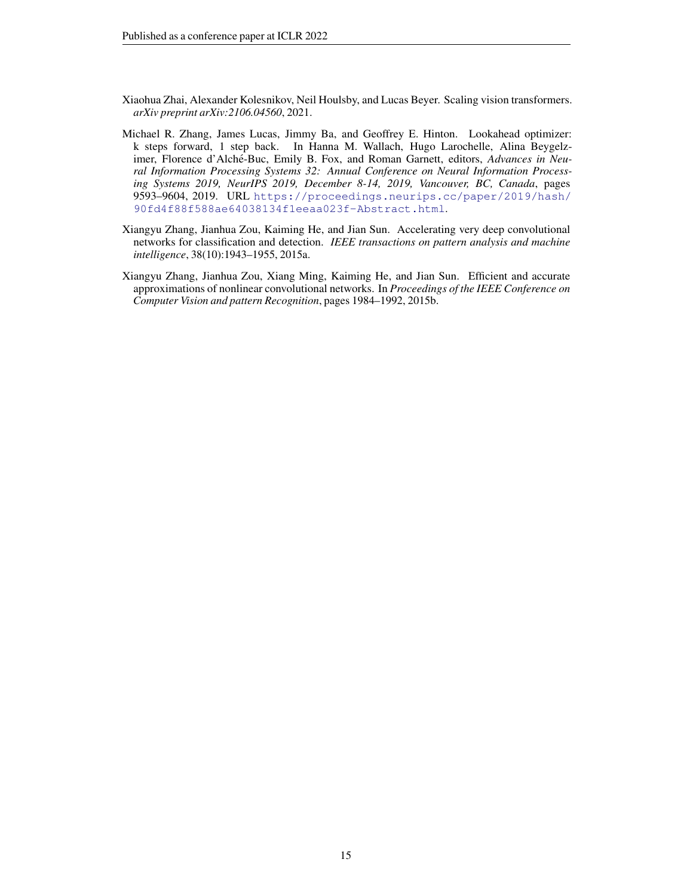- <span id="page-14-3"></span>Xiaohua Zhai, Alexander Kolesnikov, Neil Houlsby, and Lucas Beyer. Scaling vision transformers. *arXiv preprint arXiv:2106.04560*, 2021.
- <span id="page-14-0"></span>Michael R. Zhang, James Lucas, Jimmy Ba, and Geoffrey E. Hinton. Lookahead optimizer: k steps forward, 1 step back. In Hanna M. Wallach, Hugo Larochelle, Alina Beygelzimer, Florence d'Alché-Buc, Emily B. Fox, and Roman Garnett, editors, Advances in Neu*ral Information Processing Systems 32: Annual Conference on Neural Information Processing Systems 2019, NeurIPS 2019, December 8-14, 2019, Vancouver, BC, Canada*, pages 9593–9604, 2019. URL [https://proceedings.neurips.cc/paper/2019/hash/](https://proceedings.neurips.cc/paper/2019/hash/90fd4f88f588ae64038134f1eeaa023f-Abstract.html) [90fd4f88f588ae64038134f1eeaa023f-Abstract.html](https://proceedings.neurips.cc/paper/2019/hash/90fd4f88f588ae64038134f1eeaa023f-Abstract.html).
- <span id="page-14-2"></span>Xiangyu Zhang, Jianhua Zou, Kaiming He, and Jian Sun. Accelerating very deep convolutional networks for classification and detection. *IEEE transactions on pattern analysis and machine intelligence*, 38(10):1943–1955, 2015a.
- <span id="page-14-1"></span>Xiangyu Zhang, Jianhua Zou, Xiang Ming, Kaiming He, and Jian Sun. Efficient and accurate approximations of nonlinear convolutional networks. In *Proceedings of the IEEE Conference on Computer Vision and pattern Recognition*, pages 1984–1992, 2015b.